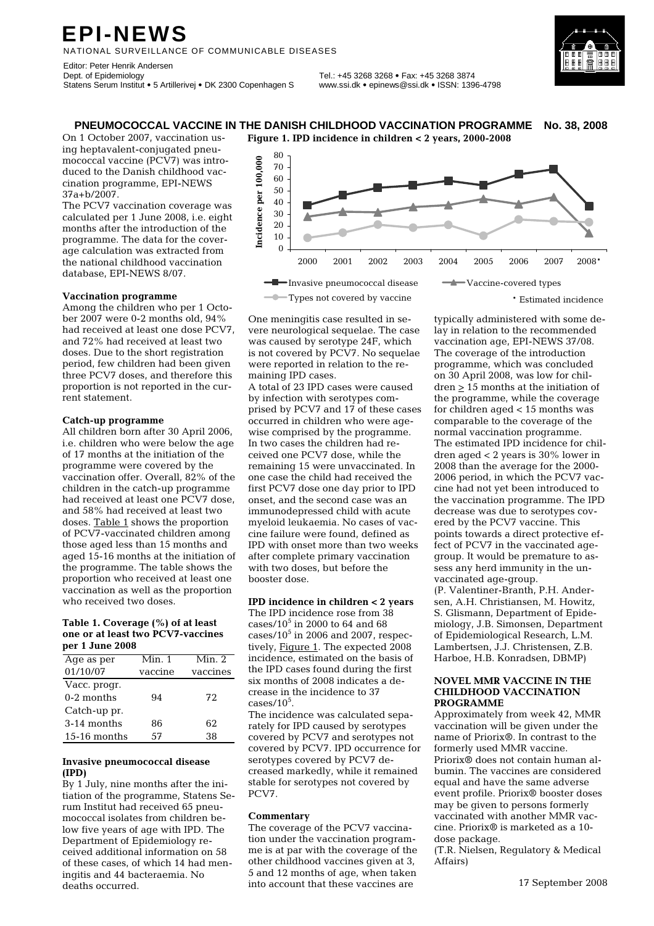# **EPI-NEWS**

NATIONAL SURVEILLANCE OF COMMUNICABLE DISEASES

Editor: Peter Henrik Andersen<br>Dept. of Epidemiology Statens Serum Institut • 5 Artillerivej • DK 2300 Copenhagen S www.ssi.dk • epinews@ssi.dk • ISSN: 1396-4798

Dept. of Epidemiology Tel.: +45 3268 3268 • Fax: +45 3268 3874



# **PNEUMOCOCCAL VACCINE IN THE DANISH CHILDHOOD VACCINATION PROGRAMME No. 38, 2008 Figure 1. IPD incidence in children < 2 years, 2000-2008**

On 1 October 2007, vaccination using heptavalent-conjugated pneumococcal vaccine (PCV7) was introduced to the Danish childhood vaccination programme, EPI-NEWS 37a+b/2007.

The PCV7 vaccination coverage was calculated per 1 June 2008, i.e. eight months after the introduction of the programme. The data for the coverage calculation was extracted from the national childhood vaccination database, EPI-NEWS 8/07.

### **Vaccination programme**

Among the children who per 1 October 2007 were 0-2 months old, 94% had received at least one dose PCV7, and 72% had received at least two doses. Due to the short registration period, few children had been given three PCV7 doses, and therefore this proportion is not reported in the current statement.

### **Catch-up programme**

All children born after 30 April 2006, i.e. children who were below the age of 17 months at the initiation of the programme were covered by the vaccination offer. Overall, 82% of the children in the catch-up programme had received at least one PCV7 dose, and 58% had received at least two doses. Table 1 shows the proportion of PCV7-vaccinated children among those aged less than 15 months and aged 15-16 months at the initiation of the programme. The table shows the proportion who received at least one vaccination as well as the proportion who received two doses.

#### **Table 1. Coverage (%) of at least one or at least two PCV7-vaccines per 1 June 2008**

| Age as per     | Min.1   | Min. 2   |
|----------------|---------|----------|
| 01/10/07       | vaccine | vaccines |
| Vacc. progr.   |         |          |
| $0-2$ months   | 94      | 72       |
| Catch-up pr.   |         |          |
| 3-14 months    | 86      | 62       |
| $15-16$ months | 57      | 38       |

#### **Invasive pneumococcal disease (IPD)**

By 1 July, nine months after the initiation of the programme, Statens Serum Institut had received 65 pneumococcal isolates from children below five years of age with IPD. The Department of Epidemiology received additional information on 58 of these cases, of which 14 had meningitis and 44 bacteraemia. No deaths occurred.



One meningitis case resulted in severe neurological sequelae. The case was caused by serotype 24F, which is not covered by PCV7. No sequelae were reported in relation to the remaining IPD cases.

A total of 23 IPD cases were caused by infection with serotypes comprised by PCV7 and 17 of these cases occurred in children who were agewise comprised by the programme. In two cases the children had received one PCV7 dose, while the remaining 15 were unvaccinated. In one case the child had received the first PCV7 dose one day prior to IPD onset, and the second case was an immunodepressed child with acute myeloid leukaemia. No cases of vaccine failure were found, defined as IPD with onset more than two weeks after complete primary vaccination with two doses, but before the booster dose.

# **IPD incidence in children < 2 years**

The IPD incidence rose from 38 cases/ $10^5$  in 2000 to 64 and 68 cases/ $10^5$  in 2006 and 2007, respectively, Figure 1. The expected 2008 incidence, estimated on the basis of the IPD cases found during the first six months of 2008 indicates a decrease in the incidence to 37  $\mathrm{cases/}10^5.$ 

The incidence was calculated separately for IPD caused by serotypes covered by PCV7 and serotypes not covered by PCV7. IPD occurrence for serotypes covered by PCV7 decreased markedly, while it remained stable for serotypes not covered by PCV7.

# **Commentary**

The coverage of the PCV7 vaccination under the vaccination programme is at par with the coverage of the other childhood vaccines given at 3, 5 and 12 months of age, when taken into account that these vaccines are

typically administered with some delay in relation to the recommended vaccination age, EPI-NEWS 37/08. The coverage of the introduction programme, which was concluded on 30 April 2008, was low for children  $\geq 15$  months at the initiation of the programme, while the coverage for children aged < 15 months was comparable to the coverage of the normal vaccination programme. The estimated IPD incidence for children aged < 2 years is 30% lower in 2008 than the average for the 2000- 2006 period, in which the PCV7 vaccine had not yet been introduced to the vaccination programme. The IPD decrease was due to serotypes covered by the PCV7 vaccine. This points towards a direct protective effect of PCV7 in the vaccinated agegroup. It would be premature to assess any herd immunity in the unvaccinated age-group. (P. Valentiner-Branth, P.H. Andersen, A.H. Christiansen, M. Howitz,

S. Glismann, Department of Epidemiology, J.B. Simonsen, Department of Epidemiological Research, L.M. Lambertsen, J.J. Christensen, Z.B. Harboe, H.B. Konradsen, DBMP)

#### **NOVEL MMR VACCINE IN THE CHILDHOOD VACCINATION PROGRAMME**

Approximately from week 42, MMR vaccination will be given under the name of Priorix®. In contrast to the formerly used MMR vaccine. Priorix® does not contain human albumin. The vaccines are considered equal and have the same adverse event profile. Priorix® booster doses may be given to persons formerly vaccinated with another MMR vaccine. Priorix® is marketed as a 10 dose package.

(T.R. Nielsen, Regulatory & Medical Affairs)